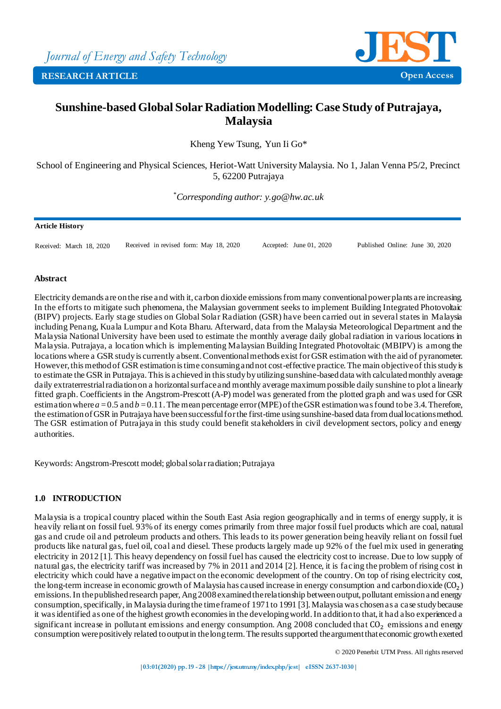

## **Sunshine-based Global Solar Radiation Modelling: Case Study of Putrajaya, Malaysia**

Kheng Yew Tsung, Yun Ii Go\*

School of Engineering and Physical Sciences, Heriot-Watt University Malaysia. No 1, Jalan Venna P5/2, Precinct 5, 62200 Putrajaya

*\*Corresponding author: y.go@hw.ac.uk*

### **Article History**

Received: March 18, 2020 Received in revised form: May 18, 2020 Accepted: June 01, 2020 Published Online: June 30, 2020

### **Abstract**

Electricity demands are on the rise and with it, carbon dioxide emissions from many conventional power plants are increasing. In the efforts to mitigate such phenomena, the Malaysian government seeks to implement Building Integrated Photovoltaic (BIPV) projects. Early stage studies on Global Solar Radiation (GSR) have been carried out in several states in Malaysia including Penang, Kuala Lumpur and Kota Bharu. Afterward, data from the Malaysia Meteorological Department and the Malaysia National University have been used to estimate the monthly average daily global radiation in various locations in Malaysia. Putrajaya, a location which is implementing Malaysian Building Integrated Photovoltaic (MBIPV) is among the locations where a GSR study is currently absent. Conventional methods exist for GSR estimation with the aid of pyranometer. However, this method of GSR estimation is time consuming and not cost-effective practice. The main objective of this study is to estimate the GSR in Putrajaya. This is achieved in this study by utilizing sunshine-based data with calculated monthly average daily extraterrestrial radiation on a horizontal surface and monthly average maximum possible daily sunshine to plot a linearly fitted graph. Coefficients in the Angstrom-Prescott (A-P) model was generated from the plotted graph and was used for GSR estimation where  $a = 0.5$  and  $b = 0.11$ . The mean percentage error (MPE) of the GSR estimation was found to be 3.4. Therefore, the estimation of GSR in Putrajaya have been successful for the first-time using sunshine-based data from dual locations method. The GSR estimation of Putrajaya in this study could benefit stakeholders in civil development sectors, policy and energy authorities.

Keywords: Angstrom-Prescott model; global solar radiation; Putrajaya

### **1.0 INTRODUCTION**

Malaysia is a tropical country placed within the South East Asia region geographically and in terms of energy supply, it is heavily reliant on fossil fuel. 93% of its energy comes primarily from three major fossil fuel products which are coal, natural gas and crude oil and petroleum products and others. This leads to its power generation being heavily reliant on fossil fuel products like natural gas, fuel oil, coal and diesel. These products largely made up 92% of the fuel mix used in generating electricity in 2012 [1]. This heavy dependency on fossil fuel has caused the electricity cost to increase. Due to low supply of natural gas, the electricity tariff was increased by 7% in 2011 and 2014 [2]. Hence, it is facing the problem of rising cost in electricity which could have a negative impact on the economic development of the country. On top of rising electricity cost, the long-term increase in economic growth of Malaysia has caused increase in energy consumption and carbon dioxide  $(CO_2)$ emissions. In the published research paper, Ang 2008 examined the relationship between output, pollutant emission and energy consumption, specifically, in Malaysia during the time frame of 1971 to 1991 [3]. Malaysia was chosen as a case study because it was identified as one of the highest growth economies in the developing world. In addition to that, it had also experienced a significant increase in pollutant emissions and energy consumption. Ang 2008 concluded that  $CO_2$  emissions and energy consumption were positively related to output in the long term. The results supported the argument that economic growth exerted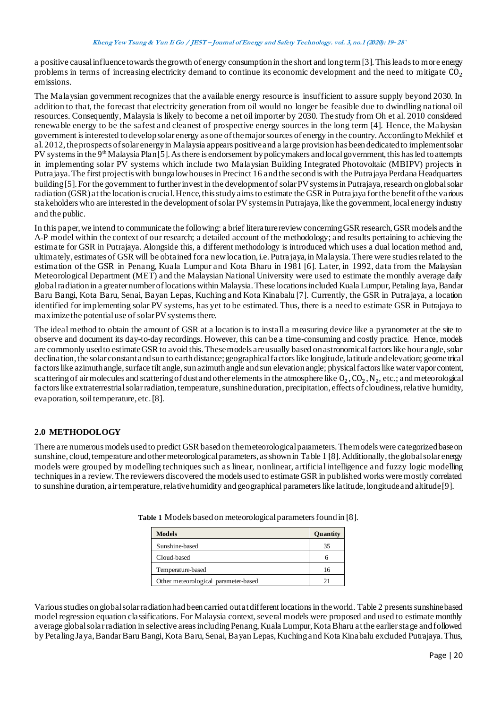a positive causal influence towards the growth of energy consumption in the short and long term [3]. This leads to more energy problems in terms of increasing electricity demand to continue its economic development and the need to mitigate  $CO<sub>2</sub>$ emissions.

The Malaysian government recognizes that the available energy resource is insufficient to assure supply beyond 2030. In addition to that, the forecast that electricity generation from oil would no longer be feasible due to dwindling national oil resources. Consequently, Malaysia is likely to become a net oil importer by 2030. The study from Oh et al. 2010 considered renewable energy to be the safest and cleanest of prospective energy sources in the long term [4]. Hence, the Malaysian government is interested to develop solar energy as one of the major sources of energy in the country. According to Mekhilef et al. 2012, the prospects of solar energy in Malaysia appears positive and a large provision has been dedicated to implement solar PV systems in the 9<sup>th</sup> Malaysia Plan [5]. As there is endorsement by policymakers and local government, this has led to attempts in implementing solar PV systems which include two Malaysian Building Integrated Photovoltaic (MBIPV) projects in Putra jaya. The first project is with bungalow houses in Precinct 16 and the second is with the Putra jaya Perdana Headquarters building [5]. For the government to further invest in the development of solar PV systems in Putrajaya, research on global solar radiation (GSR) at the location is crucial. Hence, this study aims to estimate the GSR in Putrajaya for the benefit of the va rious stakeholders who are interested in the development of solar PV systems in Putrajaya, like the government, local energy industry and the public.

In this paper, we intend to communicate the following: a brief literature review concerning GSR research, GSR models and the A-P model within the context of our research; a detailed account of the methodology; and results pertaining to achieving the estimate for GSR in Putrajaya. Alongside this, a different methodology is introduced which uses a dual location method and, ultimately, estimates of GSR will be obtained for a new location, i.e. Putrajaya, in Malaysia. There were studies related to the estimation of the GSR in Penang, Kuala Lumpur and Kota Bharu in 1981 [6]. Later, in 1992, data from the Malaysian Meteorological Department (MET) and the Malaysian National University were used to estimate the monthly average daily global radiation in a greater number of locations within Malaysia. These locations included Kuala Lumpur, Petaling Jaya, Bandar Baru Bangi, Kota Baru, Senai, Bayan Lepas, Kuching and Kota Kinabalu [7]. Currently, the GSR in Putrajaya, a location identified for implementing solar PV systems, has yet to be estimated. Thus, there is a need to estimate GSR in Putrajaya to maximize the potential use of solar PV systems there.

The ideal method to obtain the amount of GSR at a location is to install a measuring device like a pyranometer at the site to observe and document its day-to-day recordings. However, this can be a time-consuming and costly practice. Hence, models are commonly used to estimate GSR to avoid this. These models are usually based on astronomical factors like hour angle, solar declination, the solar constant and sun to earth distance; geographical factors like longitude, latitude and elevation; geome trical factors like azimuth angle, surface tilt angle, sun azimuth angle and sun elevation angle; physical factors like water vapor content, scattering of air molecules and scattering of dust and other elements in the atmosphere like  $0_2$ ,  $C_{2}$ ,  $N_2$ , etc.; and meteorological factors like extraterrestrial solar radiation, temperature, sunshine duration, precipitation, effects of cloudiness, relative humidity, evaporation, soil temperature, etc. [8].

### **2.0 METHODOLOGY**

There are numerous models used to predict GSR based on the meteorological parameters. The models were categorized base on sunshine, cloud, temperature and other meteorological parameters, as shown in Table 1 [8]. Additionally, the global solar energy models were grouped by modelling techniques such as linear, nonlinear, artificial intelligence and fuzzy logic modelling techniques in a review. The reviewers discovered the models used to estimate GSR in published works were mostly correlated to sunshine duration, air temperature, relative humidity and geographical parameters like latitude, longitude and altitude [9].

| <b>Models</b>                        | Quantity |
|--------------------------------------|----------|
| Sunshine-based                       | 35       |
| Cloud-based                          |          |
| Temperature-based                    | 16       |
| Other meteorological parameter-based |          |

**Table 1** Models based on meteorological parameters found in [8].

Various studies on global solar radiation had been carried out at different locations in the world. Table 2 presents sunshine based model regression equation classifications. For Malaysia context, several models were proposed and used to estimate monthly average global solar radiation in selective areas including Penang, Kuala Lumpur, Kota Bharu at the earlier stage and followed by Petaling Jaya, Bandar Baru Bangi, Kota Baru, Senai, Bayan Lepas, Kuching and Kota Kinabalu excluded Putrajaya. Thus,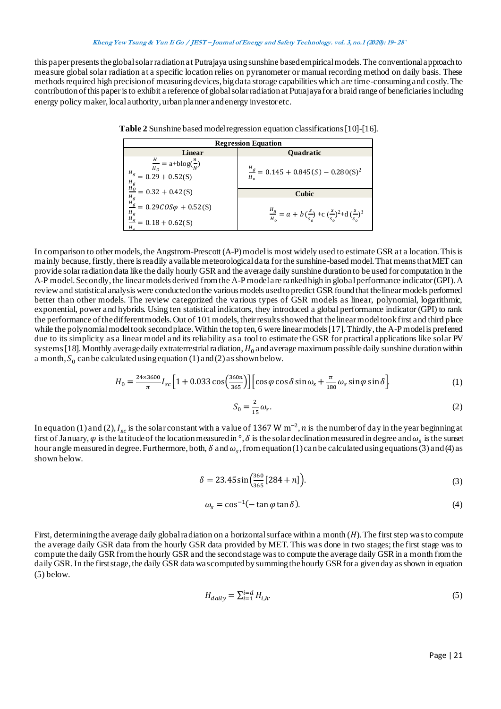### **Kheng Yew Tsung & Yun Ii Go / JEST – Journal of Energy and Safety Technology. vol. 3,no.1 (2020): <sup>19</sup>– 28`**

this paper presents the global solar radiation at Putrajaya using sunshine based empirical models. The conventional approach to measure global solar radiation at a specific location relies on pyranometer or manual recording method on daily basis. These methods required high precision of measuring devices, big data storage capabilities which are time-consuming and costly. The contribution of this paper is to exhibit a reference of global solar radiation at Putrajaya for a braid range of beneficiaries including energy policy maker, local authority, urban planner and energy investor etc.

| <b>Regression Equation</b>                                                                                         |                                                                                                                     |  |  |  |
|--------------------------------------------------------------------------------------------------------------------|---------------------------------------------------------------------------------------------------------------------|--|--|--|
| Linear                                                                                                             | <b>Quadratic</b>                                                                                                    |  |  |  |
| $\frac{H}{H_0} = \text{a+}b\log(\frac{n}{N})$<br>$\frac{H_g}{g}$ = 0.29 + 0.52(S)<br>$\frac{H_g}{H_O}$             | $\frac{H_g}{H_o} = 0.145 + 0.845(S) - 0.280(S)^2$                                                                   |  |  |  |
| $= 0.32 + 0.42(S)$                                                                                                 | <b>Cubic</b>                                                                                                        |  |  |  |
| $rac{H_g}{H_g} = 0.32 + 0.42(3)$<br>$rac{H_g}{H_g} = 0.29COS\varphi + 0.52(S)$<br>$rac{H_g}{H_g} = 0.18 + 0.62(S)$ | $\frac{H_g}{H_o} = a + b\left(\frac{s}{s_o}\right) + c\left(\frac{s}{s_o}\right)^2 + d\left(\frac{s}{s_o}\right)^3$ |  |  |  |
| $= 0.18 + 0.62(S)$                                                                                                 |                                                                                                                     |  |  |  |

**Table 2** Sunshine based model regression equation classifications [10]-[16].

In comparison to other models, the Angstrom-Prescott (A-P) model is most widely used to estimate GSR at a location. This is mainly because, firstly, there is readily available meteorological data for the sunshine-based model. That means that MET can provide solar radiation data like the daily hourly GSR and the average daily sunshine duration to be used for computation in the A-P model. Secondly, the linear models derived from the A-P model are ranked high in global performance indicator (GPI). A review and statistical analysis were conducted on the various models used to predict GSR found that the linear models performed better than other models. The review categorized the various types of GSR models as linear, polynomial, logarithmic, exponential, power and hybrids. Using ten statistical indicators, they introduced a global performance indicator (GPI) to rank the performance of the different models. Out of 101 models, their results showed that the linear model took first and third place while the polynomial model took second place. Within the top ten, 6 were linear models [17]. Thirdly, the A-P model is preferred due to its simplicity as a linear model and its reliability as a tool to estimate the GSR for practical applications like solar PV systems [18]. Monthly average daily extraterrestrial radiation,  $H_0$  and average maximum possible daily sunshine duration within a month,  $S_0$  can be calculated using equation (1) and (2) as shown below.

$$
H_0 = \frac{24 \times 3600}{\pi} I_{sc} \left[ 1 + 0.033 \cos\left(\frac{360n}{365}\right) \right] \left[ \cos\varphi \cos\delta \sin\omega_s + \frac{\pi}{180} \omega_s \sin\varphi \sin\delta \right].
$$
 (1)

$$
S_0 = \frac{2}{15}\omega_s. \tag{2}
$$

In equation (1) and (2),  $I_{sc}$  is the solar constant with a value of 1367 W m<sup>-2</sup>, *n* is the number of day in the year beginning at first of January,  $\varphi$  is the latitude of the location measured in  $^\circ$ ,  $\delta$  is the solar declination measured in degree and  $\omega_s$  is the sunset hour angle measured in degree. Furthermore, both,  $\delta$  and  $\omega_s$ , from equation (1) can be calculated using equations (3) and (4) as shown below.

$$
\delta = 23.45 \sin \left( \frac{360}{365} [284 + n] \right). \tag{3}
$$

$$
\omega_s = \cos^{-1}(-\tan\varphi\tan\delta). \tag{4}
$$

First, determining the average daily global radiation on a horizontal surface within a month  $(H)$ . The first step was to compute the average daily GSR data from the hourly GSR data provided by MET. This was done in two stages; the first stage was to compute the daily GSR from the hourly GSR and the second stage was to compute the average daily GSR in a month from the daily GSR. In the first stage, the daily GSR data was computed by summing the hourly GSR for a given day as shown in equation (5) below.

$$
H_{\text{daily}} = \sum_{i=1}^{i=d} H_{i,h}.\tag{5}
$$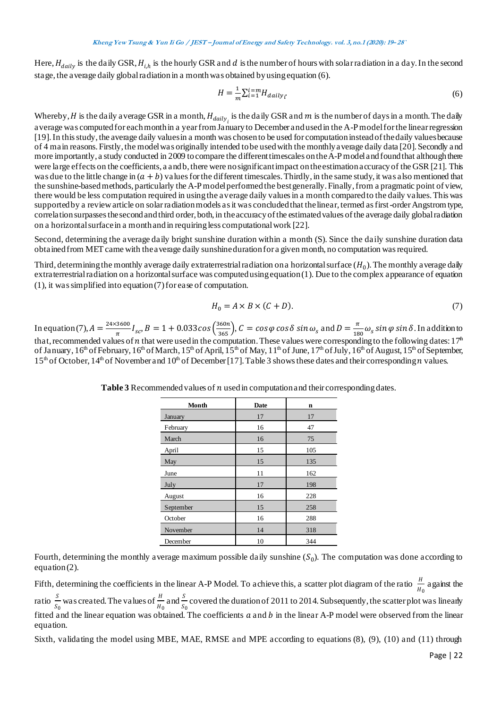Here,  $H_{daily}$  is the daily GSR,  $H_{i,h}$  is the hourly GSR and  $d$  is the number of hours with solar radiation in a day. In the second stage, the average daily global radiation in a month was obtained by using equation (6).

$$
H = \frac{1}{m} \sum_{i=1}^{i=m} H_{daily_i}
$$
\n<sup>(6)</sup>

Whereby, *H* is the daily average GSR in a month,  $H_{daily_i}$  is the daily GSR and *m* is the number of days in a month. The daily average was computed for each month in a year from January to December and used in the A-P model for the linear regression [19]. In this study, the average daily values in a month was chosen to be used for computation instead of the daily values because of 4 main reasons. Firstly, the model was originally intended to be used with the monthly average daily data [20]. Secondly and more importantly, a study conducted in 2009 to compare the different timescales on the A-P model and found that although there were large effects on the coefficients, a and b, there were no significant impact on the estimation accuracy of the GSR [21]. This was due to the little change in  $(a + b)$  values for the different timescales. Thirdly, in the same study, it was also mentioned that the sunshine-based methods, particularly the A-P model performed the best generally. Finally, from a pragmatic point of view, there would be less computation required in using the average daily values in a month compared to the daily values. This was supported by a review article on solar radiation models as it was concluded that the linear, termed as first-order Angstrom type, correlation surpasses the second and third order, both, in the accuracy of the estimated values of the average daily global radiation on a horizontal surface in a month and in requiring less computational work [22].

Second, determining the average daily bright sunshine duration within a month (S). Since the daily sunshine duration data obtained from MET came with the average daily sunshine duration for a given month, no computation was required.

Third, determining the monthly average daily extraterrestrial radiation on a horizontal surface  $(H_0)$ . The monthly average daily extraterrestrial radiation on a horizontal surface was computed using equation (1). Due to the complex appearance of equation (1), it was simplified into equation (7) for ease of computation.

$$
H_0 = A \times B \times (C + D). \tag{7}
$$

In equation (7),  $A = \frac{24 \times 3600}{100}$  $I_{sc}$ ,  $B = 1 + 0.033 \cos \left( \frac{360n}{365} \right)$  $\frac{360n}{365}$ ,  $C = \cos\varphi \cos\delta \sin\omega_s$  and  $D = \frac{\pi}{18}$  $\frac{n}{180}\omega_s \sin \varphi \sin \delta$ . In addition to that, recommended values of  $n$  that were used in the computation. These values were corresponding to the following dates: 17<sup>th</sup> of January, 16th of February, 16th of March, 15th of April, 15th of May, 11th of June, 17th of July, 16th of August, 15th of September,  $15<sup>th</sup>$  of October,  $14<sup>th</sup>$  of November and  $10<sup>th</sup>$  of December [17]. Table 3 shows these dates and their corresponding *n* values.

| Month     | <b>Date</b> | n   |
|-----------|-------------|-----|
| January   | 17          | 17  |
| February  | 16          | 47  |
| March     | 16          | 75  |
| April     | 15          | 105 |
| May       | 15          | 135 |
| June      | 11          | 162 |
| July      | 17          | 198 |
| August    | 16          | 228 |
| September | 15          | 258 |
| October   | 16          | 288 |
| November  | 14          | 318 |
| December  | 10          | 344 |

**Table 3** Recommended values of *n* used in computation and their corresponding dates.

Fourth, determining the monthly average maximum possible daily sunshine  $(S_0)$ . The computation was done according to equation (2).

Fifth, determining the coefficients in the linear A-P Model. To achieve this, a scatter plot diagram of the ratio  $\frac{H}{U}$  $\frac{H}{H_0}$  against the ratio  $\frac{S}{S_0}$  was created. The values of  $\frac{H}{H_0}$  and  $\frac{S}{S_0}$  covered the duration of 2011 to 2014. Subsequently, the scatter plot was linearly fitted and the linear equation was obtained. The coefficients  $a$  and  $b$  in the linear A-P model were observed from the linear equation.

Sixth, validating the model using MBE, MAE, RMSE and MPE according to equations (8), (9), (10) and (11) through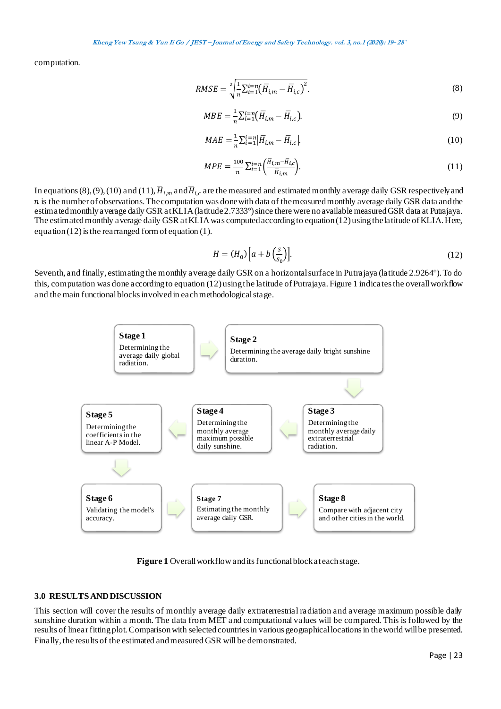**Kheng Yew Tsung & Yun Ii Go / JEST – Journal of Energy and Safety Technology. vol. 3,no.1 (2020): <sup>19</sup>– 28`**

computation.

$$
RMSE = \sqrt[2]{\frac{1}{n} \sum_{i=1}^{i=n} (\overline{H}_{i,m} - \overline{H}_{i,c})^2}.
$$
\n(8)

$$
MBE = \frac{1}{n} \sum_{i=1}^{i=n} (\overline{H}_{i,m} - \overline{H}_{i,c}).
$$
\n(9)

$$
MAE = \frac{1}{n} \sum_{i=1}^{i=n} |\overline{H}_{i,m} - \overline{H}_{i,c}|
$$
\n(10)

$$
MPE = \frac{100}{n} \sum_{i=1}^{i=n} \left( \frac{\bar{H}_{i,m} - \bar{H}_{i,c}}{\bar{H}_{i,m}} \right).
$$
 (11)

In equations (8), (9), (10) and (11),  $\overline{H}_{i,m}$  and  $\overline{H}_{i,c}$  are the measured and estimated monthly a verage daily GSR respectively and  $n$  is the number of observations. The computation was done with data of the measured monthly average daily GSR data and the estimated monthly average daily GSR at KLIA (latitude 2.7333°) since there were no available measured GSR data at Putrajaya. The estimated monthly average daily GSR at KLIA was computed according to equation (12) using the latitude of KLIA. Here, equation  $(12)$  is the rearranged form of equation  $(1)$ .

$$
H = (H_0) \left[ a + b \left( \frac{s}{s_0} \right) \right]. \tag{12}
$$

Seventh, and finally, estimating the monthly average daily GSR on a horizontal surface in Putrajaya (latitude 2.9264°). To do this, computation was done according to equation (12) using the latitude of Putrajaya. Figure 1 indicates the overall workflow and the main functional blocks involved in each methodological stage.



**Figure 1** Overall workflow and its functional block at each stage.

### **3.0 RESULTS AND DISCUSSION**

This section will cover the results of monthly average daily extraterrestrial radiation and average maximum possible daily sunshine duration within a month. The data from MET and computational values will be compared. This is followed by the results of linear fitting plot.Comparison with selected countries in various geographical locations in the world will be presented. Finally, the results of the estimated and measured GSR will be demonstrated.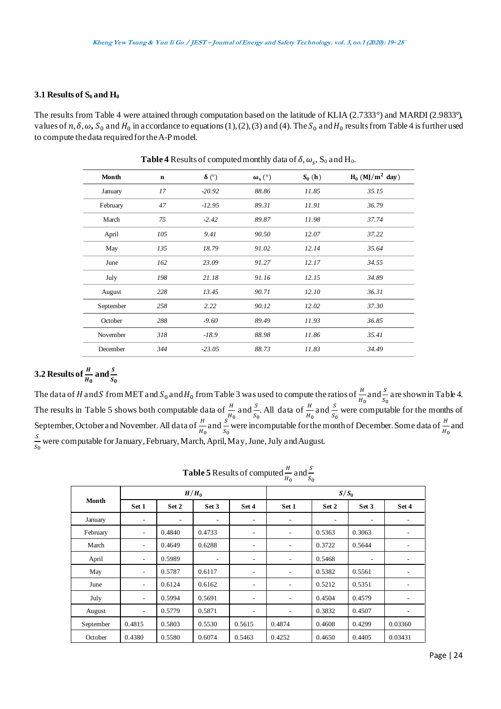### **3.1 Results of S<sup>0</sup> and H<sup>0</sup>**

The results from Table 4 were attained through computation based on the latitude of KLIA (2.7333°) and MARDI (2.9833°), values of  $n, \delta, \omega$ ,  $S_0$  and  $H_0$  in accordance to equations (1), (2), (3) and (4). The  $S_0$  and  $H_0$  results from Table 4 is further used to compute the data required for the A-P model.

| Month     | $\mathbf n$ | $\delta$ (°) | $\omega_{s}$ (°) | $S_0(h)$ | $H_0$ (MJ/m <sup>2</sup> day) |
|-----------|-------------|--------------|------------------|----------|-------------------------------|
| January   | 17          | $-20.92$     | 88.86            | 11.85    | 35.15                         |
| February  | 47          | $-12.95$     | 89.31            | 11.91    | 36.79                         |
| March     | 75          | $-2.42$      | 89.87            | 11.98    | 37.74                         |
| April     | 105         | 9.41         | 90.50            | 12.07    | 37.22                         |
| May       | 135         | 18.79        | 91.02            | 12.14    | 35.64                         |
| June      | 162         | 23.09        | 91.27            | 12.17    | 34.55                         |
| July      | 198         | 21.18        | 91.16            | 12.15    | 34.89                         |
| August    | 228         | 13.45        | 90.71            | 12.10    | 36.31                         |
| September | 258         | 2.22         | 90.12            | 12.02    | 37.30                         |
| October   | 288         | $-9.60$      | 89.49            | 11.93    | 36.85                         |
| November  | 318         | $-18.9$      | 88.98            | 11.86    | 35.41                         |
| December  | 344         | $-23.05$     | 88.73            | 11.83    | 34.49                         |

**Table 4** Results of computed monthly data of  $\delta$ ,  $\omega_s$ ,  $S_0$  and  $H_0$ .

# **3.2** Results of  $\frac{H}{H_0}$  and  $\frac{S}{S_0}$

The data of H and S from MET and  $S_0$  and  $H_0$  from Table 3 was used to compute the ratios of  $\frac{H}{H_0}$  and  $\frac{S}{S_0}$  are shown in Table 4. The results in Table 5 shows both computable data of  $\frac{H}{f_0}$  and  $\frac{S}{s_0}$ . All data of  $\frac{H}{f_0}$  and  $\frac{S}{s_0}$  were computable for the months of September, October and November. All data of  $\frac{H}{H_0}$  and  $\frac{S}{S_0}$  were incomputable for the month of December. Some data of  $\frac{H}{H_0}$  and S  $\frac{5}{s_0}$  were computable for January, February, March, April, May, June, July and August.

**Table 5** Results of computed  $\frac{H}{H_0}$  and  $\frac{S}{S_0}$ 

| Month     | $H/H_0$                  |                |                          | $S/S_0$                  |                          |                          |                          |                              |
|-----------|--------------------------|----------------|--------------------------|--------------------------|--------------------------|--------------------------|--------------------------|------------------------------|
|           | Set 1                    | Set 2          | Set 3                    | Set 4                    | Set 1                    | Set 2                    | Set 3                    | Set 4                        |
| January   | ٠                        | $\overline{a}$ | $\overline{\phantom{a}}$ | $\overline{\phantom{a}}$ | $\overline{\phantom{0}}$ | $\overline{\phantom{a}}$ | $\overline{\phantom{a}}$ |                              |
| February  | ۰                        | 0.4840         | 0.4733                   | $\overline{\phantom{0}}$ | $\overline{\phantom{a}}$ | 0.5363                   | 0.3063                   |                              |
| March     | ٠                        | 0.4649         | 0.6288                   | $\overline{\phantom{0}}$ | $\overline{\phantom{a}}$ | 0.3722                   | 0.5644                   |                              |
| April     | $\overline{\phantom{a}}$ | 0.5989         |                          | $\overline{\phantom{a}}$ | $\overline{\phantom{a}}$ | 0.5468                   | $\overline{\phantom{a}}$ | $\qquad \qquad \blacksquare$ |
| May       | $\qquad \qquad -$        | 0.5787         | 0.6117                   | $\overline{a}$           | $\overline{\phantom{a}}$ | 0.5382                   | 0.5561                   | $\qquad \qquad \blacksquare$ |
| June      | $\overline{\phantom{a}}$ | 0.6124         | 0.6162                   | $\overline{\phantom{0}}$ | $\overline{\phantom{a}}$ | 0.5212                   | 0.5351                   | $\qquad \qquad \blacksquare$ |
| July      | ٠                        | 0.5994         | 0.5691                   | $\overline{\phantom{0}}$ | $\overline{\phantom{a}}$ | 0.4504                   | 0.4579                   | ۰                            |
| August    | ٠                        | 0.5779         | 0.5871                   | $\overline{\phantom{0}}$ | $\overline{\phantom{a}}$ | 0.3832                   | 0.4507                   |                              |
| September | 0.4815                   | 0.5803         | 0.5530                   | 0.5615                   | 0.4874                   | 0.4608                   | 0.4299                   | 0.03360                      |
| October   | 0.4380                   | 0.5580         | 0.6074                   | 0.5463                   | 0.4252                   | 0.4650                   | 0.4405                   | 0.03431                      |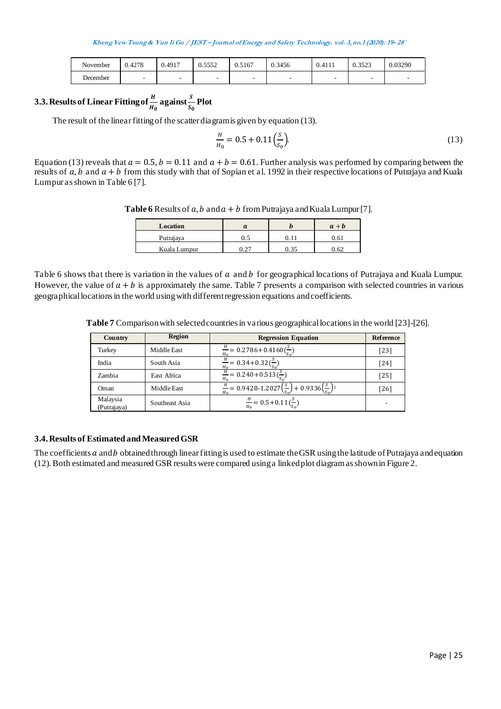| November | 0.4278 | 0.4917 | 5550<br>U.SSS2 | 0.5167 | 0.3456 | 0.4111 | 0.3523 | 0.03290 |
|----------|--------|--------|----------------|--------|--------|--------|--------|---------|
| December |        | -      | -              | -      | -      | -      | -      | $\sim$  |

# **3.3.** Results of Linear Fitting of  $\frac{H}{H_0}$  against  $\frac{S}{S_0}$  Plot

The result of the linear fitting of the scatter diagram is given by equation (13).

$$
\frac{H}{H_0} = 0.5 + 0.11 \left(\frac{S}{S_0}\right). \tag{13}
$$

Equation (13) reveals that  $a = 0.5$ ,  $b = 0.11$  and  $a + b = 0.61$ . Further analysis was performed by comparing between the results of a, b and  $a + b$  from this study with that of Sopian et al. 1992 in their respective locations of Putrajaya and Kuala Lumpur as shown in Table 6 [7].

**Table 6** Results of  $a, b$  and  $a + b$  from Putrajaya and Kuala Lumpur [7].

| Location     | а    | $a + b$ |
|--------------|------|---------|
| Putrajaya    | v. . |         |
| Kuala Lumpur |      |         |

Table 6 shows that there is variation in the values of  $a$  and  $b$  for geographical locations of Putrajaya and Kuala Lumpur. However, the value of  $a + b$  is approximately the same. Table 7 presents a comparison with selected countries in various geographical locations in the world using with different regression equations and coefficients.

| Country                 | <b>Region</b>  | <b>Regression Equation</b>                                                                       | <b>Reference</b> |
|-------------------------|----------------|--------------------------------------------------------------------------------------------------|------------------|
| Turkey                  | Middle East    | $\frac{H}{a}$ = 0.2786+0.4160( $\frac{3}{s}$ )                                                   | $[23]$           |
| India                   | South Asia     | $\frac{H}{U} = 0.34 + 0.32(\frac{s}{s})$                                                         | $[24]$           |
| Zambia                  | East Africa    | $\frac{H}{U}$ = 0.240+0.513( $\frac{S}{C}$ )<br>Ho                                               | $[25]$           |
| Oman                    | Middle East    | $\frac{H}{a} = 0.9428 - 1.2027 \left(\frac{s}{s_0}\right) + 0.9336 \left(\frac{s}{s_0}\right)^2$ | [26]             |
| Malaysia<br>(Putrajaya) | Southeast Asia | $\frac{H}{H_0}$ = 0.5 + 0.11 $(\frac{S}{S_0})$                                                   |                  |

**Table 7** Comparison with selected countries in various geographical locations in the world [23]-[26].

### **3.4. Results of Estimated and Measured GSR**

The coefficients  $a$  and  $b$  obtained through linear fitting is used to estimate the GSR using the latitude of Putrajaya and equation (12). Both estimated and measured GSR results were compared using a linked plot diagram as shown in Figure 2.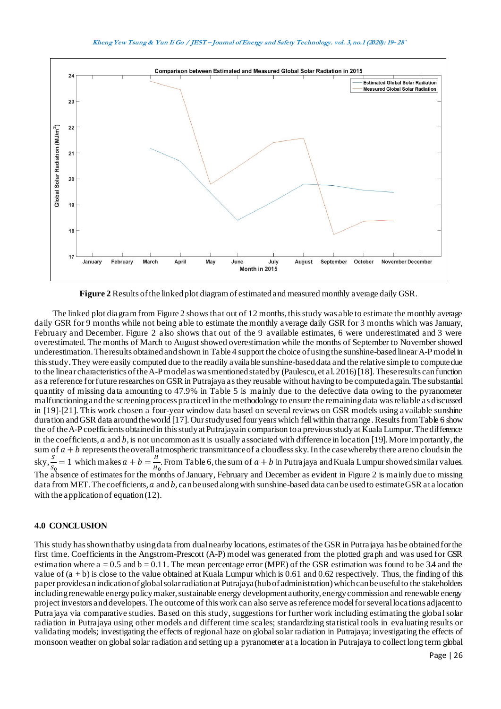

**Figure 2** Results of the linked plot diagram of estimated and measured monthly average daily GSR.

The linked plot diagram from Figure 2 shows that out of 12 months, this study was able to estimate the monthly average daily GSR for 9 months while not being able to estimate the monthly average daily GSR for 3 months which was January, February and December. Figure 2 also shows that out of the 9 available estimates, 6 were underestimated and 3 were overestimated. The months of March to August showed overestimation while the months of September to November showed underestimation. The results obtained and shown in Table 4 support the choice of using the sunshine-based linear A-P model in this study. They were easily computed due to the readily available sunshine-based data and the relative simple to compute due to the linear characteristics of the A-P model as was mentioned stated by (Paulescu, et al. 2016) [18]. These results can function as a reference for future researches on GSR in Putrajaya as they reusable without having to be computed again. The substantial quantity of missing data amounting to 47.9% in Table 5 is mainly due to the defective data owing to the pyranometer malfunctioning and the screening process practiced in the methodology to ensure the remaining data was reliable as discussed in [19]-[21]. This work chosen a four-year window data based on several reviews on GSR models using available sunshine duration and GSR data around the world [17]. Our study used four years which fell within that range. Results from Table 6 show the of the A-P coefficients obtained in this study at Putrajaya in comparison to a previous study at Kuala Lumpur. The difference in the coefficients,  $a$  and  $b$ , is not uncommon as it is usually associated with difference in location [19]. More importantly, the sum of  $a + b$  represents the overall atmospheric transmittance of a cloudless sky. In the case whereby there are no clouds in the sky,  $\frac{s}{s_0} = 1$  which makes  $a + b = \frac{H}{H_0}$  $\frac{1}{H_0}$ . From Table 6, the sum of  $a + b$  in Putrajaya and Kuala Lumpur showed similar values. The absence of estimates for the months of January, February and December as evident in Figure 2 is mainly due to missing data from MET. The coefficients,  $a$  and  $b$ , can be used along with sunshine-based data can be used to estimate GSR at a location with the application of equation (12).

### **4.0 CONCLUSION**

This study has shown that by using data from dual nearby locations, estimates of the GSR in Putrajaya has be obtained for the first time. Coefficients in the Angstrom-Prescott (A-P) model was generated from the plotted graph and was used for GSR estimation where  $a = 0.5$  and  $b = 0.11$ . The mean percentage error (MPE) of the GSR estimation was found to be 3.4 and the value of  $(a + b)$  is close to the value obtained at Kuala Lumpur which is 0.61 and 0.62 respectively. Thus, the finding of this paper provides an indication of global solar radiation at Putrajaya (hub of administration) which can be useful to the stakeholders including renewable energy policy maker, sustainable energy development authority, energy commission and renewable energy project investors and developers. The outcome of this work can also serve as reference model for several locations adjacent to Putrajaya via comparative studies. Based on this study, suggestions for further work including estimating the global solar radiation in Putrajaya using other models and different time scales; standardizing statistical tools in evaluating results or validating models; investigating the effects of regional haze on global solar radiation in Putrajaya; investigating the effects of monsoon weather on global solar radiation and setting up a pyranometer at a location in Putrajaya to collect long term global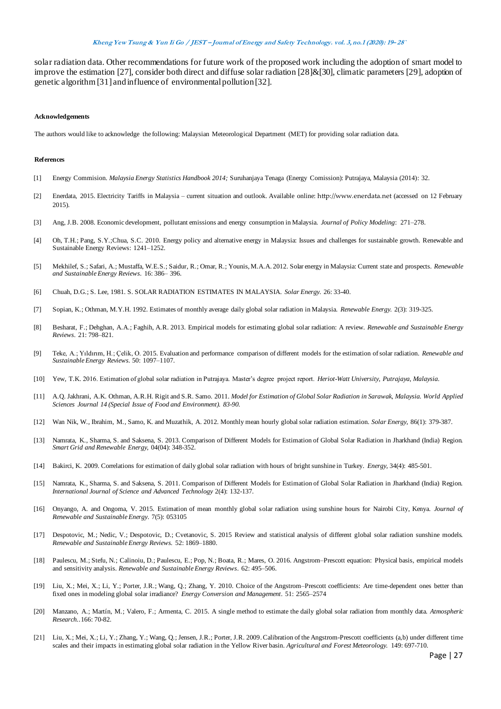solar radiation data. Other recommendations for future work of the proposed work including the adoption of smart model to improve the estimation [27], consider both direct and diffuse solar radiation [28]&[30], climatic parameters [29], adoption of genetic algorithm [31] and influence of environmental pollution [32].

#### **Acknowledgements**

The authors would like to acknowledge the following: Malaysian Meteorological Department (MET) for providing solar radiation data.

#### **References**

- [1] Energy Commision. *Malaysia Energy Statistics Handbook 2014;* Suruhanjaya Tenaga (Energy Comission): Putrajaya, Malaysia (2014): 32.
- [2] Enerdata, 2015. Electricity Tariffs in Malaysia current situation and outlook. Available online: [http://www.enerdata.net](http://www.enerdata.net/) (accessed on 12 February 2015).
- [3] Ang, J.B. 2008. Economic development, pollutant emissions and energy consumption in Malaysia. *Journal of Policy Modeling*: 271–278.
- [4] Oh, T.H.; Pang, S.Y.;Chua, S.C. 2010. Energy policy and alternative energy in Malaysia: Issues and challenges for sustainable growth. Renewable and Sustainable Energy Reviews: 1241–1252.
- [5] Mekhilef, S.; Safari, A.; Mustaffa, W.E.S.; Saidur, R.; Omar, R.; Younis, M.A.A. 2012. Solar energy in Malaysia: Current state and prospects. *Renewable and Sustainable Energy Reviews.* 16: 386– 396.
- [6] Chuah, D.G.; S. Lee, 1981. S. SOLAR RADIATION ESTIMATES IN MALAYSIA. *Solar Energy*. 26: 33-40.
- [7] Sopian, K.; Othman, M.Y.H. 1992. Estimates of monthly average daily global solar radiation in Malaysia. *Renewable Energy.* 2(3): 319-325.
- [8] Besharat, F.; Dehghan, A.A.; Faghih, A.R. 2013. Empirical models for estimating global solar radiation: A review. *Renewable and Sustainable Energy Reviews.* 21: 798–821.
- [9] Teke, A.; Yıldırım, H.; Çelik, O. 2015. Evaluation and performance comparison of different models for the estimation of solar radiation. *Renewable and Sustainable Energy Reviews.* 50: 1097–1107.
- [10] Yew, T.K. 2016. Estimation of global solar radiation in Putrajaya. Master's degree project report. *Heriot-Watt University, Putrajaya, Malaysia.*
- [11] A.Q. Jakhrani, A.K. Othman, A.R.H. Rigit and S.R. Samo. 2011. *Model for Estimation of Global Solar Radiation in Sarawak, Malaysia. World Applied Sciences Journal 14 (Special Issue of Food and Environment). 83-90.*
- [12] Wan Nik, W., Ibrahim, M., Samo, K. and Muzathik, A. 2012. Monthly mean hourly global solar radiation estimation. *Solar Energy*, 86(1): 379-387.
- [13] Namrata, K., Sharma, S. and Saksena, S. 2013. Comparison of Different Models for Estimation of Global Solar Radiation in Jharkhand (India) Region. *Smart Grid and Renewable Energy*, 04(04): 348-352.
- [14] Bakirci, K. 2009. Correlations for estimation of daily global solar radiation with hours of bright sunshine in Turkey. *Energy*, 34(4): 485-501.
- [15] Namrata, K., Sharma, S. and Saksena, S. 2011. Comparison of Different Models for Estimation of Global Solar Radiation in Jharkhand (India) Region*. International Journal of Science and Advanced Technology* 2(4): 132-137.
- [16] Onyango, A. and Ongoma, V. 2015. Estimation of mean monthly global solar radiation using sunshine hours for Nairobi City, Kenya. *Journal of Renewable and Sustainable Energy*. 7(5): 053105
- [17] Despotovic, M.; Nedic, V.; Despotovic, D.; Cvetanovic, S. 2015 Review and statistical analysis of different global solar radiation sunshine models. *Renewable and Sustainable Energy Reviews.* 52: 1869–1880.
- [18] Paulescu, M.; Stefu, N.; Calinoiu, D.; Paulescu, E.; Pop, N.; Boata, R.; Mares, O. 2016. Angstrom–Prescott equation: Physical basis, empirical models and sensitivity analysis. *Renewable and Sustainable Energy Reviews.* 62: 495–506.
- [19] Liu, X.; Mei, X.; Li, Y.; Porter, J.R.; Wang, Q.; Zhang, Y. 2010. Choice of the Angstrom–Prescott coefficients: Are time-dependent ones better than fixed ones in modeling global solar irradiance? *Energy Conversion and Management.* 51: 2565–2574
- [20] Manzano, A.; Martín, M.; Valero, F.; Armenta, C. 2015. A single method to estimate the daily global solar radiation from monthly data. *Atmospheric Research..*166: 70-82.
- [21] Liu, X.; Mei, X.; Li, Y.; Zhang, Y.; Wang, Q.; Jensen, J.R.; Porter, J.R. 2009.Calibration of the Angstrom-Prescott coefficients (a,b) under different time scales and their impacts in estimating global solar radiation in the Yellow River basin. *Agricultural and Forest Meteorology.* 149: 697-710.